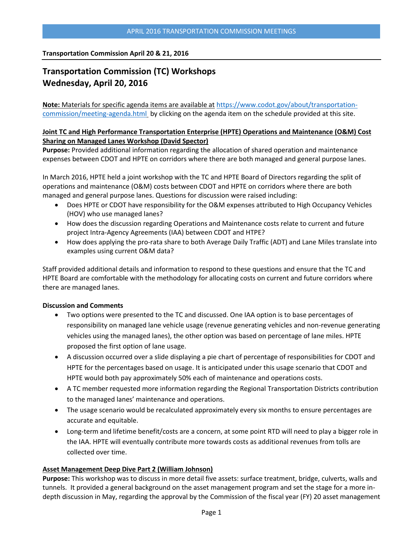**Transportation Commission April 20 & 21, 2016**

# **Transportation Commission (TC) Workshops Wednesday, April 20, 2016**

**Note:** Materials for specific agenda items are available at [https://www.codot.gov/about/transportation](https://www.codot.gov/about/transportation-commission/meeting-agenda.html)[commission/meeting-agenda.html](https://www.codot.gov/about/transportation-commission/meeting-agenda.html) by clicking on the agenda item on the schedule provided at this site.

## **Joint TC and High Performance Transportation Enterprise (HPTE) Operations and Maintenance (O&M) Cost Sharing on Managed Lanes Workshop (David Spector)**

**Purpose:** Provided additional information regarding the allocation of shared operation and maintenance expenses between CDOT and HPTE on corridors where there are both managed and general purpose lanes.

In March 2016, HPTE held a joint workshop with the TC and HPTE Board of Directors regarding the split of operations and maintenance (O&M) costs between CDOT and HPTE on corridors where there are both managed and general purpose lanes. Questions for discussion were raised including:

- Does HPTE or CDOT have responsibility for the O&M expenses attributed to High Occupancy Vehicles (HOV) who use managed lanes?
- How does the discussion regarding Operations and Maintenance costs relate to current and future project Intra-Agency Agreements (IAA) between CDOT and HTPE?
- How does applying the pro-rata share to both Average Daily Traffic (ADT) and Lane Miles translate into examples using current O&M data?

Staff provided additional details and information to respond to these questions and ensure that the TC and HPTE Board are comfortable with the methodology for allocating costs on current and future corridors where there are managed lanes.

## **Discussion and Comments**

- Two options were presented to the TC and discussed. One IAA option is to base percentages of responsibility on managed lane vehicle usage (revenue generating vehicles and non-revenue generating vehicles using the managed lanes), the other option was based on percentage of lane miles. HPTE proposed the first option of lane usage.
- A discussion occurred over a slide displaying a pie chart of percentage of responsibilities for CDOT and HPTE for the percentages based on usage. It is anticipated under this usage scenario that CDOT and HPTE would both pay approximately 50% each of maintenance and operations costs.
- A TC member requested more information regarding the Regional Transportation Districts contribution to the managed lanes' maintenance and operations.
- The usage scenario would be recalculated approximately every six months to ensure percentages are accurate and equitable.
- Long-term and lifetime benefit/costs are a concern, at some point RTD will need to play a bigger role in the IAA. HPTE will eventually contribute more towards costs as additional revenues from tolls are collected over time.

## **[Asset](https://www.codot.gov/about/transportation-commission/current-agenda-and-supporting-documents/2-tiger-viii-freight-discretionary-grants.pdf) Management Deep Dive Part 2 (William Johnson)**

**Purpose:** This workshop was to discuss in more detail five assets: surface treatment, bridge, culverts, walls and tunnels. It provided a general background on the asset management program and set the stage for a more indepth discussion in May, regarding the approval by the Commission of the fiscal year (FY) 20 asset management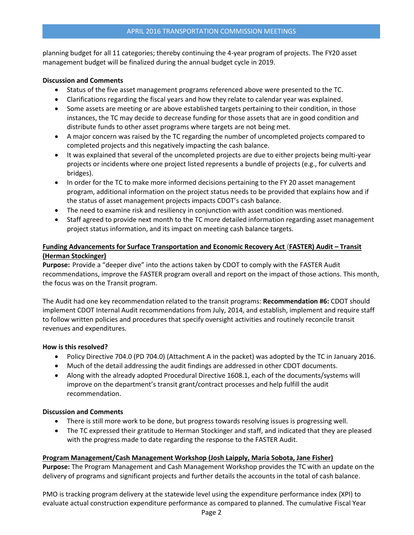#### APRIL 2016 TRANSPORTATION COMMISSION MEETINGS

planning budget for all 11 categories; thereby continuing the 4-year program of projects. The FY20 asset management budget will be finalized during the annual budget cycle in 2019.

#### **Discussion and Comments**

- Status of the five asset management programs referenced above were presented to the TC.
- Clarifications regarding the fiscal years and how they relate to calendar year was explained.
- Some assets are meeting or are above established targets pertaining to their condition, in those instances, the TC may decide to decrease funding for those assets that are in good condition and distribute funds to other asset programs where targets are not being met.
- A major concern was raised by the TC regarding the number of uncompleted projects compared to completed projects and this negatively impacting the cash balance.
- It was explained that several of the uncompleted projects are due to either projects being multi-year projects or incidents where one project listed represents a bundle of projects (e.g., for culverts and bridges).
- In order for the TC to make more informed decisions pertaining to the FY 20 asset management program, additional information on the project status needs to be provided that explains how and if the status of asset management projects impacts CDOT's cash balance.
- The need to examine risk and resiliency in conjunction with asset condition was mentioned.
- Staff agreed to provide next month to the TC more detailed information regarding asset management project status information, and its impact on meeting cash balance targets.

# **Funding Advancements for Surface Transportation and Economic Recovery Act** (**[FASTER\) Audit](https://www.codot.gov/about/transportation-commission/current-agenda-and-supporting-documents/4-pmo-workshop.pdf) – Transit [\(Herman Stockinger\)](https://www.codot.gov/about/transportation-commission/current-agenda-and-supporting-documents/4-pmo-workshop.pdf)**

**Purpose:** Provide a "deeper dive" into the actions taken by CDOT to comply with the FASTER Audit recommendations, improve the FASTER program overall and report on the impact of those actions. This month, the focus was on the Transit program.

The Audit had one key recommendation related to the transit programs: **Recommendation #6:** CDOT should implement CDOT Internal Audit recommendations from July, 2014, and establish, implement and require staff to follow written policies and procedures that specify oversight activities and routinely reconcile transit revenues and expenditures.

## **How is this resolved?**

- Policy Directive 704.0 (PD 704.0) (Attachment A in the packet) was adopted by the TC in January 2016.
- Much of the detail addressing the audit findings are addressed in other CDOT documents.
- Along with the already adopted Procedural Directive 1608.1, each of the documents/systems will improve on the department's transit grant/contract processes and help fulfill the audit recommendation.

## **Discussion and Comments**

- There is still more work to be done, but progress towards resolving issues is progressing well.
- The TC expressed their gratitude to Herman Stockinger and staff, and indicated that they are pleased with the progress made to date regarding the response to the FASTER Audit.

## **Program [Management/Cash Management Workshop \(Josh Laipply, Maria Sobota, Jane Fisher\)](https://www.codot.gov/about/transportation-commission/current-agenda-and-supporting-documents/4-pmo-workshop.pdf)**

**Purpose:** The Program Management and Cash Management Workshop provides the TC with an update on the delivery of programs and significant projects and further details the accounts in the total of cash balance.

PMO is tracking program delivery at the statewide level using the expenditure performance index (XPI) to evaluate actual construction expenditure performance as compared to planned. The cumulative Fiscal Year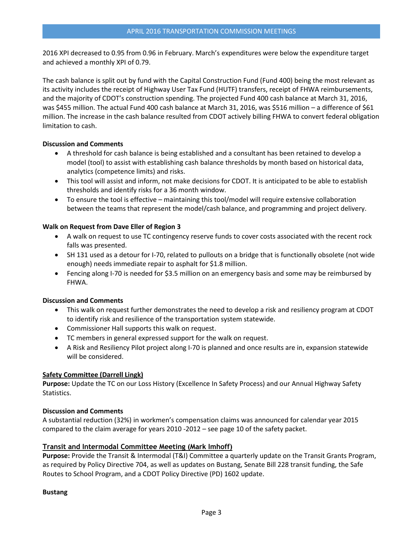2016 XPI decreased to 0.95 from 0.96 in February. March's expenditures were below the expenditure target and achieved a monthly XPI of 0.79.

The cash balance is split out by fund with the Capital Construction Fund (Fund 400) being the most relevant as its activity includes the receipt of Highway User Tax Fund (HUTF) transfers, receipt of FHWA reimbursements, and the majority of CDOT's construction spending. The projected Fund 400 cash balance at March 31, 2016, was \$455 million. The actual Fund 400 cash balance at March 31, 2016, was \$516 million – a difference of \$61 million. The increase in the cash balance resulted from CDOT actively billing FHWA to convert federal obligation limitation to cash.

#### **Discussion and Comments**

- A threshold for cash balance is being established and a consultant has been retained to develop a model (tool) to assist with establishing cash balance thresholds by month based on historical data, analytics (competence limits) and risks.
- This tool will assist and inform, not make decisions for CDOT. It is anticipated to be able to establish thresholds and identify risks for a 36 month window.
- To ensure the tool is effective maintaining this tool/model will require extensive collaboration between the teams that represent the model/cash balance, and programming and project delivery.

## **Walk on Request from Dave Eller of Region 3**

- A walk on request to use TC contingency reserve funds to cover costs associated with the recent rock falls was presented.
- SH 131 used as a detour for I-70, related to pullouts on a bridge that is functionally obsolete (not wide enough) needs immediate repair to asphalt for \$1.8 million.
- Fencing along I-70 is needed for \$3.5 million on an emergency basis and some may be reimbursed by FHWA.

#### **Discussion and Comments**

- This walk on request further demonstrates the need to develop a risk and resiliency program at CDOT to identify risk and resilience of the transportation system statewide.
- Commissioner Hall supports this walk on request.
- TC members in general expressed support for the walk on request.
- A Risk and Resiliency Pilot project along I-70 is planned and once results are in, expansion statewide will be considered.

## **[Safety Committee \(Darrell Lingk\)](https://www.codot.gov/about/transportation-commission/current-agenda-and-supporting-documents/2-tiger-viii-freight-discretionary-grants.pdf)**

**Purpose:** Update the TC on our Loss History (Excellence In Safety Process) and our Annual Highway Safety Statistics.

## **Discussion and Comments**

A substantial reduction (32%) in workmen's compensation claims was announced for calendar year 2015 compared to the claim average for years 2010 -2012 – see page 10 of the safety packet.

## **[Transit and Intermodal Committee Meeting \(Mark Imhoff\)](https://www.codot.gov/about/transportation-commission/current-agenda-and-supporting-documents/6-transit-and-intermodal-committee.pdf)**

**Purpose:** Provide the Transit & Intermodal (T&I) Committee a quarterly update on the Transit Grants Program, as required by Policy Directive 704, as well as updates on Bustang, Senate Bill 228 transit funding, the Safe Routes to School Program, and a CDOT Policy Directive (PD) 1602 update.

#### **Bustang**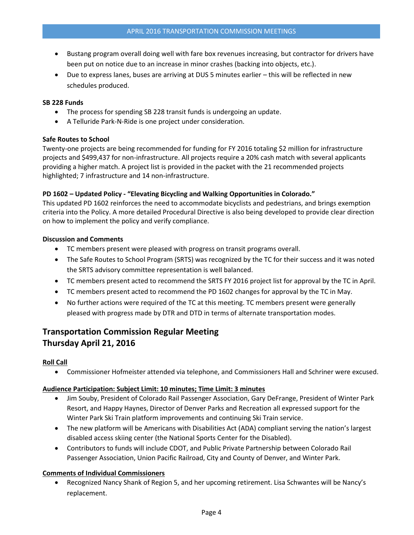- Bustang program overall doing well with fare box revenues increasing, but contractor for drivers have been put on notice due to an increase in minor crashes (backing into objects, etc.).
- Due to express lanes, buses are arriving at DUS 5 minutes earlier this will be reflected in new schedules produced.

#### **SB 228 Funds**

- The process for spending SB 228 transit funds is undergoing an update.
- A Telluride Park-N-Ride is one project under consideration.

#### **Safe Routes to School**

Twenty-one projects are being recommended for funding for FY 2016 totaling \$2 million for infrastructure projects and \$499,437 for non-infrastructure. All projects require a 20% cash match with several applicants providing a higher match. A project list is provided in the packet with the 21 recommended projects highlighted; 7 infrastructure and 14 non-infrastructure.

#### **PD 1602 – Updated Policy - "Elevating Bicycling and Walking Opportunities in Colorado."**

This updated PD 1602 reinforces the need to accommodate bicyclists and pedestrians, and brings exemption criteria into the Policy. A more detailed Procedural Directive is also being developed to provide clear direction on how to implement the policy and verify compliance.

#### **Discussion and Comments**

- TC members present were pleased with progress on transit programs overall.
- The Safe Routes to School Program (SRTS) was recognized by the TC for their success and it was noted the SRTS advisory committee representation is well balanced.
- TC members present acted to recommend the SRTS FY 2016 project list for approval by the TC in April.
- TC members present acted to recommend the PD 1602 changes for approval by the TC in May.
- No further actions were required of the TC at this meeting. TC members present were generally pleased with progress made by DTR and DTD in terms of alternate transportation modes.

# **Transportation Commission Regular Meeting Thursday April 21, 2016**

## **Roll Call**

Commissioner Hofmeister attended via telephone, and Commissioners Hall and Schriner were excused.

## **Audience Participation: Subject Limit: 10 minutes; Time Limit: 3 minutes**

- Jim Souby, President of Colorado Rail Passenger Association, Gary DeFrange, President of Winter Park Resort, and Happy Haynes, Director of Denver Parks and Recreation all expressed support for the Winter Park Ski Train platform improvements and continuing Ski Train service.
- The new platform will be Americans with Disabilities Act (ADA) compliant serving the nation's largest disabled access skiing center (the National Sports Center for the Disabled).
- Contributors to funds will include CDOT, and Public Private Partnership between Colorado Rail Passenger Association, Union Pacific Railroad, City and County of Denver, and Winter Park.

## **Comments of Individual Commissioners**

 Recognized Nancy Shank of Region 5, and her upcoming retirement. Lisa Schwantes will be Nancy's replacement.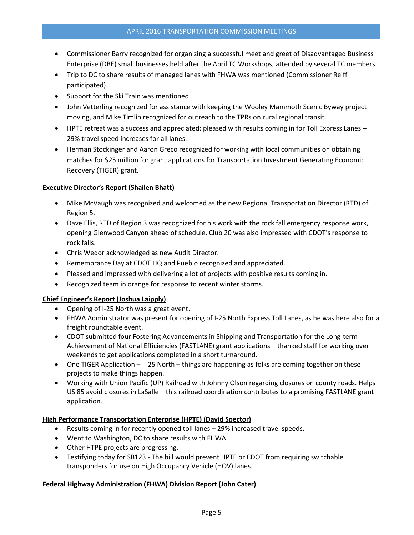- Commissioner Barry recognized for organizing a successful meet and greet of Disadvantaged Business Enterprise (DBE) small businesses held after the April TC Workshops, attended by several TC members.
- Trip to DC to share results of managed lanes with FHWA was mentioned (Commissioner Reiff participated).
- Support for the Ski Train was mentioned.
- John Vetterling recognized for assistance with keeping the Wooley Mammoth Scenic Byway project moving, and Mike Timlin recognized for outreach to the TPRs on rural regional transit.
- HPTE retreat was a success and appreciated; pleased with results coming in for Toll Express Lanes 29% travel speed increases for all lanes.
- Herman Stockinger and Aaron Greco recognized for working with local communities on obtaining matches for \$25 million for grant applications for Transportation Investment Generating Economic Recovery (TIGER) grant.

## **Executive Director's Report (Shailen Bhatt)**

- Mike McVaugh was recognized and welcomed as the new Regional Transportation Director (RTD) of Region 5.
- Dave Ellis, RTD of Region 3 was recognized for his work with the rock fall emergency response work, opening Glenwood Canyon ahead of schedule. Club 20 was also impressed with CDOT's response to rock falls.
- Chris Wedor acknowledged as new Audit Director.
- Remembrance Day at CDOT HQ and Pueblo recognized and appreciated.
- Pleased and impressed with delivering a lot of projects with positive results coming in.
- Recognized team in orange for response to recent winter storms.

# **Chief Engineer's Report (Joshua Laipply)**

- Opening of I-25 North was a great event.
- FHWA Administrator was present for opening of I-25 North Express Toll Lanes, as he was here also for a freight roundtable event.
- CDOT submitted four Fostering Advancements in Shipping and Transportation for the Long-term Achievement of National Efficiencies (FASTLANE) grant applications – thanked staff for working over weekends to get applications completed in a short turnaround.
- One TIGER Application  $-1$  -25 North things are happening as folks are coming together on these projects to make things happen.
- Working with Union Pacific (UP) Railroad with Johnny Olson regarding closures on county roads. Helps US 85 avoid closures in LaSalle – this railroad coordination contributes to a promising FASTLANE grant application.

## **High Performance Transportation Enterprise (HPTE) (David Spector)**

- Results coming in for recently opened toll lanes 29% increased travel speeds.
- Went to Washington, DC to share results with FHWA.
- Other HTPE projects are progressing.
- Testifying today for SB123 The bill would prevent HPTE or CDOT from requiring switchable transponders for use on High Occupancy Vehicle (HOV) lanes.

## **Federal Highway Administration (FHWA) Division Report (John Cater)**